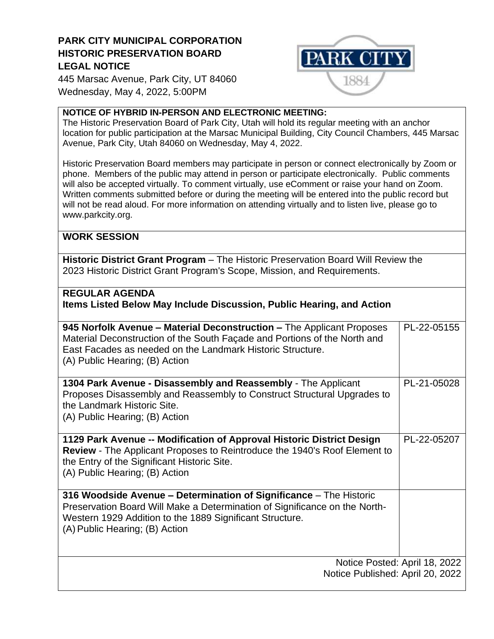## **PARK CITY MUNICIPAL CORPORATION HISTORIC PRESERVATION BOARD LEGAL NOTICE**



445 Marsac Avenue, Park City, UT 84060 Wednesday, May 4, 2022, 5:00PM

## **NOTICE OF HYBRID IN-PERSON AND ELECTRONIC MEETING:**

The Historic Preservation Board of Park City, Utah will hold its regular meeting with an anchor location for public participation at the Marsac Municipal Building, City Council Chambers, 445 Marsac Avenue, Park City, Utah 84060 on Wednesday, May 4, 2022.

Historic Preservation Board members may participate in person or connect electronically by Zoom or phone. Members of the public may attend in person or participate electronically. Public comments will also be accepted virtually. To comment virtually, use eComment or raise your hand on Zoom. Written comments submitted before or during the meeting will be entered into the public record but will not be read aloud. For more information on attending virtually and to listen live, please go to www.parkcity.org.

## **WORK SESSION**

**Historic District Grant Program** – The Historic Preservation Board Will Review the 2023 Historic District Grant Program's Scope, Mission, and Requirements.

## **REGULAR AGENDA Items Listed Below May Include Discussion, Public Hearing, and Action**

| 945 Norfolk Avenue - Material Deconstruction - The Applicant Proposes<br>Material Deconstruction of the South Façade and Portions of the North and<br>East Facades as needed on the Landmark Historic Structure.<br>(A) Public Hearing; (B) Action | PL-22-05155 |
|----------------------------------------------------------------------------------------------------------------------------------------------------------------------------------------------------------------------------------------------------|-------------|
| 1304 Park Avenue - Disassembly and Reassembly - The Applicant<br>Proposes Disassembly and Reassembly to Construct Structural Upgrades to<br>the Landmark Historic Site.<br>(A) Public Hearing; (B) Action                                          | PL-21-05028 |
| 1129 Park Avenue -- Modification of Approval Historic District Design<br><b>Review</b> - The Applicant Proposes to Reintroduce the 1940's Roof Element to<br>the Entry of the Significant Historic Site.<br>(A) Public Hearing; (B) Action         | PL-22-05207 |
| 316 Woodside Avenue - Determination of Significance - The Historic<br>Preservation Board Will Make a Determination of Significance on the North-<br>Western 1929 Addition to the 1889 Significant Structure.<br>(A) Public Hearing; (B) Action     |             |
| Notice Posted: April 18, 2022<br>Notice Published: April 20, 2022                                                                                                                                                                                  |             |